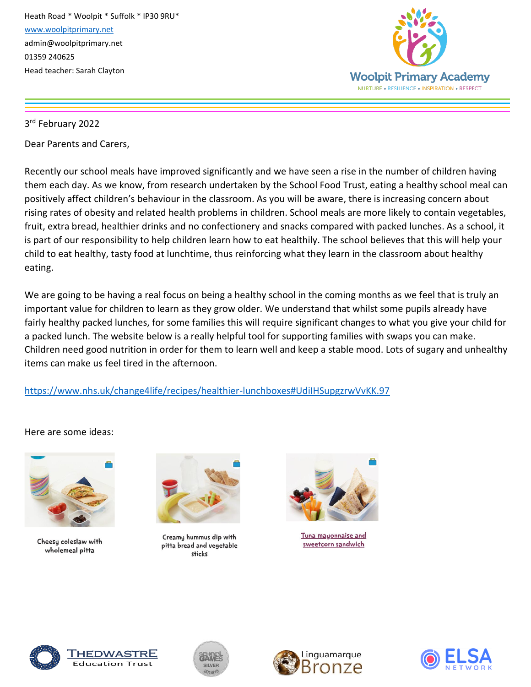

3 rd February 2022

Dear Parents and Carers,

Recently our school meals have improved significantly and we have seen a rise in the number of children having them each day. As we know, from research undertaken by the School Food Trust, eating a healthy school meal can positively affect children's behaviour in the classroom. As you will be aware, there is increasing concern about rising rates of obesity and related health problems in children. School meals are more likely to contain vegetables, fruit, extra bread, healthier drinks and no confectionery and snacks compared with packed lunches. As a school, it is part of our responsibility to help children learn how to eat healthily. The school believes that this will help your child to eat healthy, tasty food at lunchtime, thus reinforcing what they learn in the classroom about healthy eating.

We are going to be having a real focus on being a healthy school in the coming months as we feel that is truly an important value for children to learn as they grow older. We understand that whilst some pupils already have fairly healthy packed lunches, for some families this will require significant changes to what you give your child for a packed lunch. The website below is a really helpful tool for supporting families with swaps you can make. Children need good nutrition in order for them to learn well and keep a stable mood. Lots of sugary and unhealthy items can make us feel tired in the afternoon.

<https://www.nhs.uk/change4life/recipes/healthier-lunchboxes#UdiIHSupgzrwVvKK.97>

Here are some ideas:



Cheesy coleslaw with wholemeal pitta



Creamy hummus dip with pitta bread and vegetable sticks



Tuna mayonnaise and sweetcorn sandwich



<u>THEDWASTRE</u> **Education Trust** 





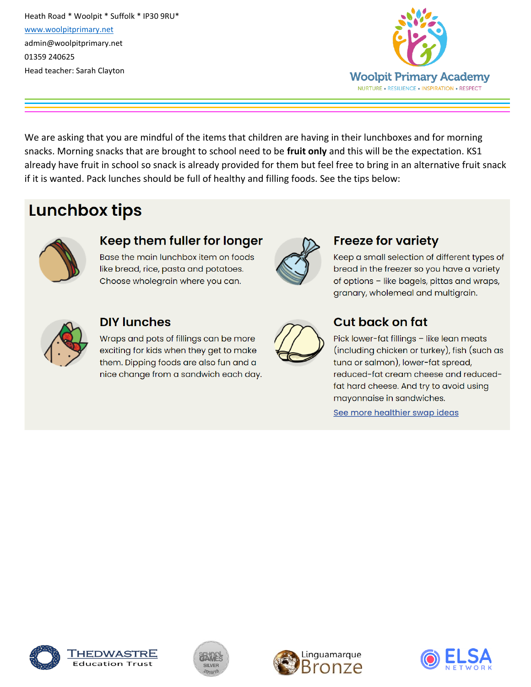

We are asking that you are mindful of the items that children are having in their lunchboxes and for morning snacks. Morning snacks that are brought to school need to be fruit only and this will be the expectation. KS1 already have fruit in school so snack is already provided for them but feel free to bring in an alternative fruit snack if it is wanted. Pack lunches should be full of healthy and filling foods. See the tips below:

# **Lunchbox tips**



#### Keep them fuller for longer

Base the main lunchbox item on foods like bread, rice, pasta and potatoes. Choose wholegrain where you can.



# **Freeze for variety**

Keep a small selection of different types of bread in the freezer so you have a variety of options - like bagels, pittas and wraps, granary, wholemeal and multigrain.



#### **DIY lunches**

Wraps and pots of fillings can be more exciting for kids when they get to make them. Dipping foods are also fun and a nice change from a sandwich each day.



# **Cut back on fat**

Pick lower-fat fillings - like lean meats (including chicken or turkey), fish (such as tuna or salmon), lower-fat spread, reduced-fat cream cheese and reducedfat hard cheese. And try to avoid using mayonnaise in sandwiches.

See more healthier swap ideas









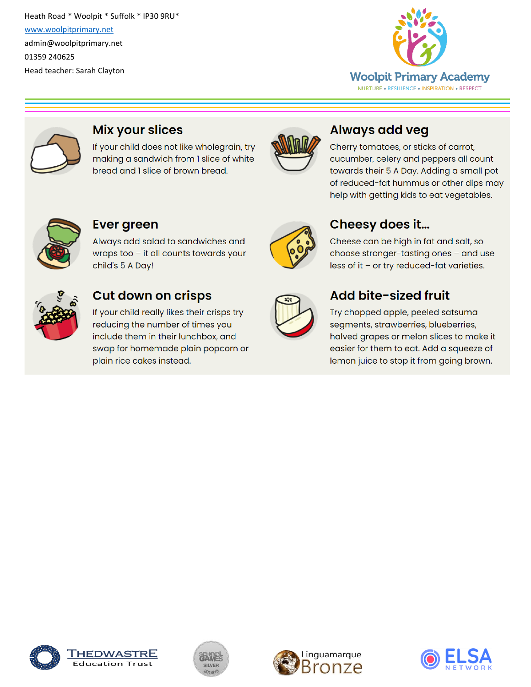



#### **Mix your slices**

If your child does not like wholegrain, try making a sandwich from 1 slice of white bread and I slice of brown bread.



# **Always add veg**

Cherry tomatoes, or sticks of carrot, cucumber, celery and peppers all count towards their 5 A Day. Adding a small pot of reduced-fat hummus or other dips may help with getting kids to eat vegetables.



#### **Ever green**

Always add salad to sandwiches and wraps too - it all counts towards your child's 5 A Day!



### **Cut down on crisps**

If your child really likes their crisps try reducing the number of times you include them in their lunchbox, and swap for homemade plain popcorn or plain rice cakes instead.



# Cheesy does it...

Cheese can be high in fat and salt, so choose stronger-tasting ones - and use less of it - or try reduced-fat varieties.

| $\overline{a}$ |  |
|----------------|--|
|                |  |
|                |  |
|                |  |

### Add bite-sized fruit

Try chopped apple, peeled satsuma segments, strawberries, blueberries, halved grapes or melon slices to make it easier for them to eat. Add a squeeze of lemon juice to stop it from going brown.